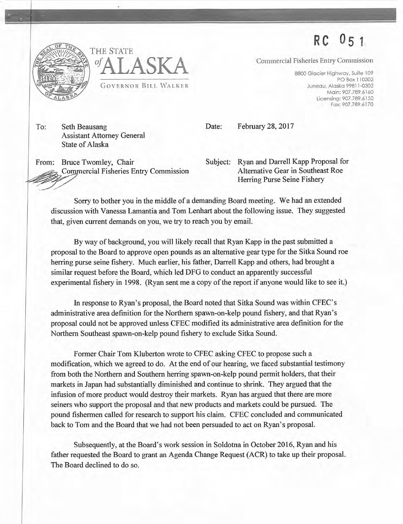**RC 05 1** 



THE STATE *<sup>01</sup>***ALASKA**  GOVERNOR BILL WALKER

Commercial Fisheries Entry Commission

8800 Glacier Highway. Suite 109 PO Box 110302 Juneau, Alaska 99811-0302 Main: 907.789.6160 Licensing: 907.789 .6150 Fax: 907.789 .6170

To: Seth Beausang Assistant Attorney General State of Alaska

Date: February 28, 2017

From: Bruce Twomley, Chair Commercial Fisheries Entry Commission

Subject: Ryan and Darrell Kapp Proposal for Alternative Gear in Southeast Roe Herring Purse Seine Fishery

Sorry to bother you in the middle of a demanding Board meeting. We had an extended discussion with Vanessa Lamantia and Tom Lenhart about the following issue. They suggested that, given current demands on you, we try to reach you by email.

By way of background, you will likely recall that Ryan Kapp in the past submitted a proposal to the Board to approve open pounds as an alternative gear type for the Sitka Sound roe herring purse seine fishery. Much earlier, his father, Darrell Kapp and others, had brought a similar request before the Board, which led DFG to conduct an apparently successful experimental fishery in 1998. (Ryan sent me a copy of the report if anyone would like to see it.)

In response to Ryan's proposal, the Board noted that Sitka Sound was within CFEC's administrative area definition for the Northern spawn-on-kelp pound fishery, and that Ryan's proposal could not be approved unless CFEC modified its administrative area definition for the Northern Southeast spawn-on-kelp pound fishery to exclude Sitka Sound.

Former Chair Tom Kluberton wrote to CFEC asking CFEC to propose such a modification, which we agreed to do. At the end of our hearing, we faced substantial testimony from both the Northern and Southern herring spawn-on-kelp pound permit holders, that their markets in Japan had substantially diminished and continue to shrink. They argued that the infusion of more product would destroy their markets. Ryan has argued that there are more seiners who support the proposal and that new products and markets could be pursued. The pound fishermen called for research to support his claim. CFEC concluded and communicated back to Tom and the Board that we had not been persuaded to act on Ryan's proposal.

Subsequently, at the Board's work session in Soldotna in October 2016, Ryan and his father requested the Board to grant an Agenda Change Request (ACR) to take up their proposal. The Board declined to do so.